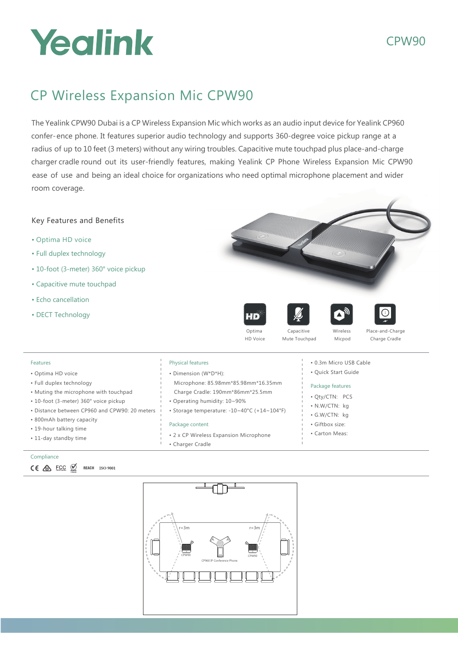# Yealink

### CPW90

## CP Wireless Expansion Mic CPW90

The Yealink CPW90 Dubai is a CP Wireless Expansion Mic which works as an audio input device for Yealink CP960 confer-ence phone. It features superior audio technology and supports 360-degree voice pickup range at a radius of up to 10 feet (3 meters) without any wiring troubles. Capacitive mute touchpad plus place-and-charge charger cradle round out its user-friendly features, making Yealink CP Phone Wireless Expansion Mic CPW90 ease of use and being an ideal choice for organizations who need optimal microphone placement and wider room coverage.



- Optima HD voice
- Full duplex technology
- 10-foot (3-meter) 360° voice pickup
- Capacitive mute touchpad
- Echo cancellation
- DECT Technology





- Features • Optima HD voice
- Full duplex technology
- Muting the microphone with touchpad
- 10-foot (3-meter) 360° voice pickup
- Distance between CP960 and CPW90: 20 meters
- 800mAh battery capacity
- 19-hour talking time
- 11-day standby time

#### Compliance

 $CE \otimes ECC \otimes$ REACH ISO 9001

#### Physical features

- Dimension (W\*D\*H): Microphone: 85.98mm\*85.98mm\*16.35mm
- Charge Cradle: 190mm\*86mm\*25.5mm

Optima HD Voice

- Operating humidity: 10~90%
- Storage temperature: -10~40°C (+14~104°F)

#### Package content

- 2 x CP Wireless Expansion Microphone
- Charger Cradle

#### • 0.3m Micro USB Cable

Capacitive Mute Touchpad

• Quick Start Guide

Wireless Micpod Place-and-Charge Charge Cradle

#### Package features

- Qty/CTN: PCS
- N.W/CTN: kg
- G.W/CTN: kg
- Giftbox size:
- Carton Meas: